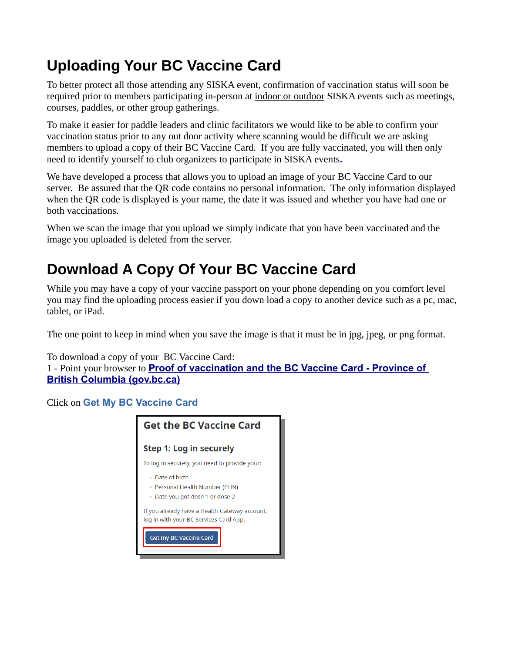## **Uploading Your BC Vaccine Card**

To better protect all those attending any SISKA event, confirmation of vaccination status will soon be required prior to members participating in-person at indoor or outdoor SISKA events such as meetings, courses, paddles, or other group gatherings.

To make it easier for paddle leaders and clinic facilitators we would like to be able to confirm your vaccination status prior to any out door activity where scanning would be difficult we are asking members to upload a copy of their BC Vaccine Card. If you are fully vaccinated, you will then only need to identify yourself to club organizers to participate in SISKA events**.**

We have developed a process that allows you to upload an image of your BC Vaccine Card to our server. Be assured that the QR code contains no personal information. The only information displayed when the QR code is displayed is your name, the date it was issued and whether you have had one or both vaccinations.

When we scan the image that you upload we simply indicate that you have been vaccinated and the image you uploaded is deleted from the server.

## **Download A Copy Of Your BC Vaccine Card**

While you may have a copy of your vaccine passport on your phone depending on you comfort level you may find the uploading process easier if you down load a copy to another device such as a pc, mac, tablet, or iPad.

The one point to keep in mind when you save the image is that it must be in jpg, jpeg, or png format.

To download a copy of your BC Vaccine Card:

1 - Point your browser to **[Proof of vaccination and the BC Vaccine Card - Province of](https://www2.gov.bc.ca/gov/content/covid-19/vaccine/proof)  [British Columbia \(gov.bc.ca\)](https://www2.gov.bc.ca/gov/content/covid-19/vaccine/proof)**

Click on **Get My BC Vaccine Card**

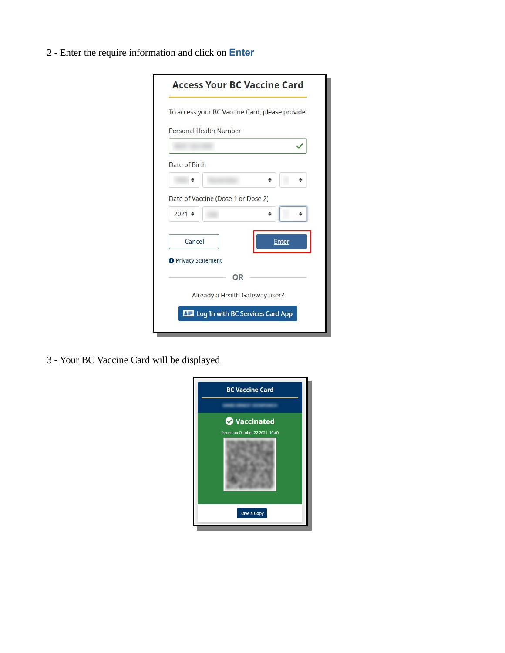2 - Enter the require information and click on **Enter**

| Personal Health Number             |              |
|------------------------------------|--------------|
|                                    |              |
| Date of Birth                      |              |
|                                    |              |
| Date of Vaccine (Dose 1 or Dose 2) |              |
| $2021 \div$                        |              |
| Cancel                             | <b>Enter</b> |
| <b>O</b> Privacy Statement         |              |
| OR                                 |              |
| Already a Health Gateway user?     |              |

3 - Your BC Vaccine Card will be displayed

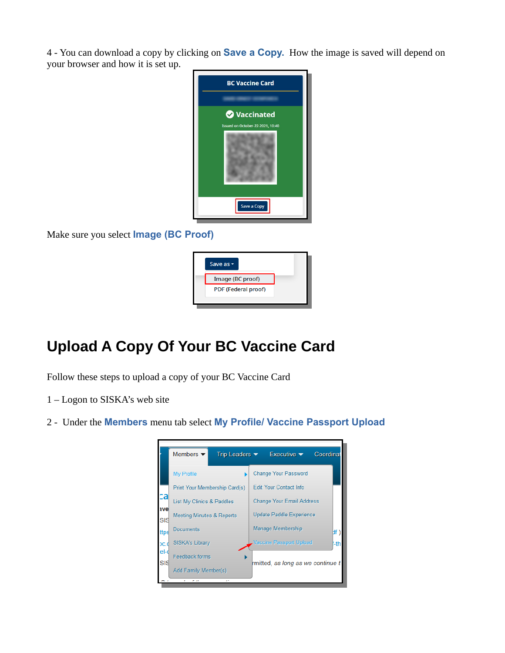4 - You can download a copy by clicking on **Save a Copy.** How the image is saved will depend on your browser and how it is set up.



Make sure you select **Image (BC Proof)**



## **Upload A Copy Of Your BC Vaccine Card**

Follow these steps to upload a copy of your BC Vaccine Card

- 1 Logon to SISKA's web site
- 2 Under the **Members** menu tab select **My Profile/ Vaccine Passport Upload**

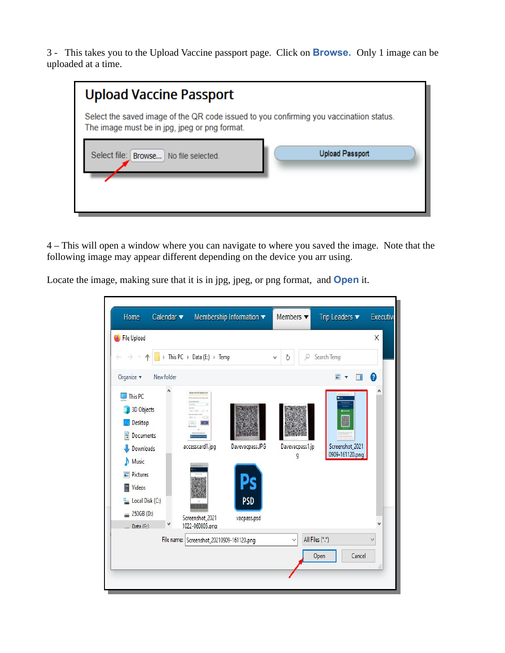3 - This takes you to the Upload Vaccine passport page. Click on **Browse.** Only 1 image can be uploaded at a time.

| <b>Upload Vaccine Passport</b>                                                                                                           |                        |
|------------------------------------------------------------------------------------------------------------------------------------------|------------------------|
| Select the saved image of the QR code issued to you confirming you vaccinatiion status.<br>The image must be in jpg, jpeg or png format. |                        |
| Select file: Browse   No file selected.                                                                                                  | <b>Upload Passport</b> |

4 – This will open a window where you can navigate to where you saved the image. Note that the following image may appear different depending on the device you arr using.

Locate the image, making sure that it is in jpg, jpeg, or png format, and **Open** it.

| Home                                                                                                                                                                | Calendar v |                                                                                     | Membership Information v                     | Members $\blacktriangledown$ | Trip Leaders $\blacktriangledown$              | <b>Executive</b> |
|---------------------------------------------------------------------------------------------------------------------------------------------------------------------|------------|-------------------------------------------------------------------------------------|----------------------------------------------|------------------------------|------------------------------------------------|------------------|
| File Upload                                                                                                                                                         |            | > This PC > Data (E:) > Temp                                                        |                                              | ρ<br>Ö                       | Search Temp                                    | X                |
| Organize v                                                                                                                                                          | New folder |                                                                                     |                                              |                              | $\blacksquare$<br>m<br>$\overline{\mathbf{v}}$ | 0                |
| This PC<br><b>3D Objects</b><br>Desktop<br>럍<br>Documents<br>Downloads<br>Music<br>Pictures<br>Videos<br>圏<br>Local Disk (C:)<br>250GB (D:)<br>$\equiv$<br>Data (F) |            | Arrest Your DE Nusing List<br>accesscard1.jpg<br>Screenshot_2021<br>1022-060805.png | Davevacpass.JPG<br><b>PSD</b><br>vacpass.psd | Davevacpass1.jp<br>g         | Screenshot_2021<br>0909-161120.png             |                  |
|                                                                                                                                                                     |            | File name: Screenshot_20210909-161120.png                                           |                                              | $\checkmark$                 | All Files (*.*)<br>Cancel<br>Open              | $\checkmark$     |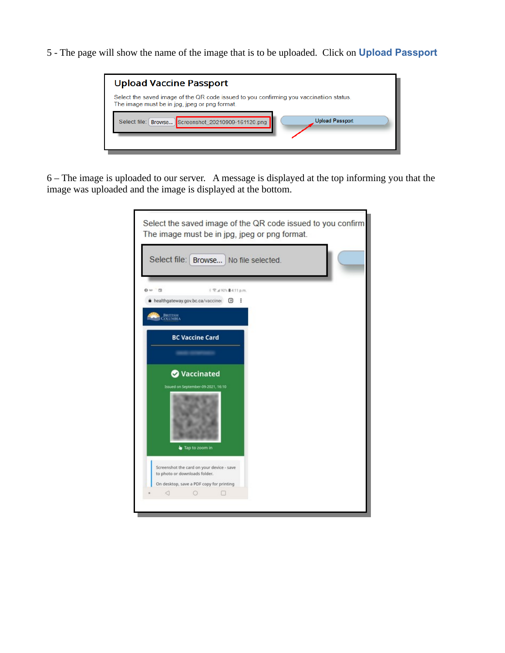5 - The page will show the name of the image that is to be uploaded. Click on **Upload Passport** 



6 – The image is uploaded to our server. A message is displayed at the top informing you that the image was uploaded and the image is displayed at the bottom.

| Select file: Browse No file selected.                                      | Select the saved image of the QR code issued to you confirm<br>The image must be in jpg, jpeg or png format. |
|----------------------------------------------------------------------------|--------------------------------------------------------------------------------------------------------------|
|                                                                            |                                                                                                              |
| $0 \times 1$                                                               | 【 空⊿92% ■ 4:11 p.m.                                                                                          |
| healthgateway.gov.bc.ca/vaccine: 9                                         |                                                                                                              |
| <b>BRITISH</b>                                                             |                                                                                                              |
| <b>BC Vaccine Card</b>                                                     |                                                                                                              |
|                                                                            |                                                                                                              |
| <b>2</b> Vaccinated                                                        |                                                                                                              |
|                                                                            |                                                                                                              |
| Issued on September-09-2021, 16:10                                         |                                                                                                              |
| Tap to zoom in                                                             |                                                                                                              |
| Screenshot the card on your device - save<br>to photo or downloads folder. |                                                                                                              |
| On desktop, save a PDF copy for printing                                   |                                                                                                              |
| ◁<br>$\circ$                                                               | п                                                                                                            |